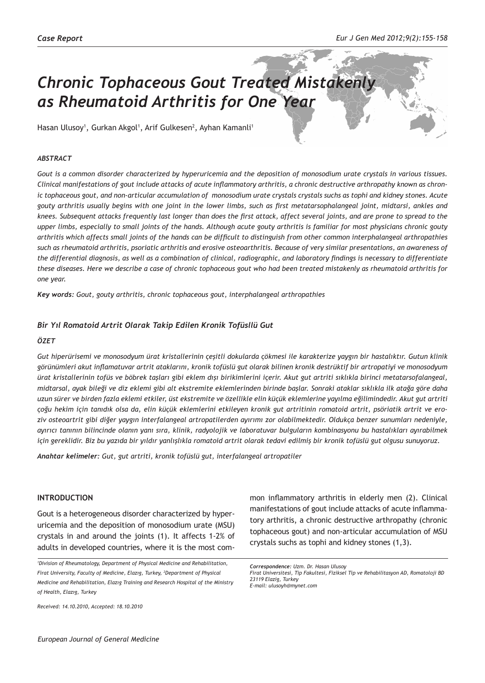# *Chronic Tophaceous Gout Treated Mistakenly as Rheumatoid Arthritis for One Year*

Hasan Ulusoy<sup>1</sup>, Gurkan Akgol<sup>1</sup>, Arif Gulkesen<sup>2</sup>, Ayhan Kamanli<sup>1</sup>

### *ABSTRACT*

*Gout is a common disorder characterized by hyperuricemia and the deposition of monosodium urate crystals in various tissues. Clinical manifestations of gout include attacks of acute inflammatory arthritis, a chronic destructive arthropathy known as chronic tophaceous gout, and non-articular accumulation of monosodium urate crystals crystals suchs as tophi and kidney stones. Acute gouty arthritis usually begins with one joint in the lower limbs, such as first metatarsophalangeal joint, midtarsi, ankles and knees. Subsequent attacks frequently last longer than does the first attack, affect several joints, and are prone to spread to the upper limbs, especially to small joints of the hands. Although acute gouty arthritis is familiar for most physicians chronic gouty arthritis which affects small joints of the hands can be difficult to distinguish from other common interphalangeal arthropathies such as rheumatoid arthritis, psoriatic arthritis and erosive osteoarthritis. Because of very similar presentations, an awareness of the differential diagnosis, as well as a combination of clinical, radiographic, and laboratory findings is necessary to differentiate these diseases. Here we describe a case of chronic tophaceous gout who had been treated mistakenly as rheumatoid arthritis for one year.*

*Key words: Gout, gouty arthritis, chronic tophaceous gout, interphalangeal arthropathies*

### *Bir Yıl Romatoid Artrit Olarak Takip Edilen Kronik Tofüsllü Gut*

#### *ÖZET*

*Gut hiperürisemi ve monosodyum ürat kristallerinin çeşitli dokularda çökmesi ile karakterize yaygın bir hastalıktır. Gutun klinik görünümleri akut inflamatuvar artrit ataklarını, kronik tofüslü gut olarak bilinen kronik destrüktif bir artropatiyi ve monosodyum ürat kristallerinin tofüs ve böbrek taşları gibi eklem dışı birikimlerini içerir. Akut gut artriti sıklıkla birinci metatarsofalangeal, midtarsal, ayak bileği ve diz eklemi gibi alt ekstremite eklemlerinden birinde başlar. Sonraki ataklar sıklıkla ilk atağa göre daha uzun sürer ve birden fazla eklemi etkiler, üst ekstremite ve özellikle elin küçük eklemlerine yayılma eğilimindedir. Akut gut artriti çoğu hekim için tanıdık olsa da, elin küçük eklemlerini etkileyen kronik gut artritinin romatoid artrit, psöriatik artrit ve eroziv osteoartrit gibi diğer yaygın interfalangeal artropatilerden ayırımı zor olabilmektedir. Oldukça benzer sunumları nedeniyle, ayırıcı tanının bilincinde olanın yanı sıra, klinik, radyolojik ve laboratuvar bulguların kombinasyonu bu hastalıkları ayırabilmek için gereklidir. Biz bu yazıda bir yıldır yanlışlıkla romatoid artrit olarak tedavi edilmiş bir kronik tofüslü gut olgusu sunuyoruz.*

*Anahtar kelimeler: Gut, gut artriti, kronik tofüslü gut, interfalangeal artropatiler*

### **INTRODUCTION**

Gout is a heterogeneous disorder characterized by hyperuricemia and the deposition of monosodium urate (MSU) crystals in and around the joints (1). It affects 1-2% of adults in developed countries, where it is the most com-

*Received: 14.10.2010, Accepted: 18.10.2010*

mon inflammatory arthritis in elderly men (2). Clinical manifestations of gout include attacks of acute inflammatory arthritis, a chronic destructive arthropathy (chronic tophaceous gout) and non-articular accumulation of MSU crystals suchs as tophi and kidney stones (1,3).

*<sup>1</sup> Division of Rheumatology, Department of Physical Medicine and Rehabilitation, Firat University, Faculty of Medicine, Elazıg, Turkey, <sup>2</sup> Department of Physical Medicine and Rehabilitation, Elazıg Training and Research Hospital of the Ministry of Health, Elazıg, Turkey*

*Correspondence: Uzm. Dr. Hasan Ulusoy Firat Universitesi, Tip Fakultesi, Fiziksel Tip ve Rehabilitasyon AD, Romatoloji BD 23119 Elazig, Turkey E-mail: ulusoyh@mynet.com*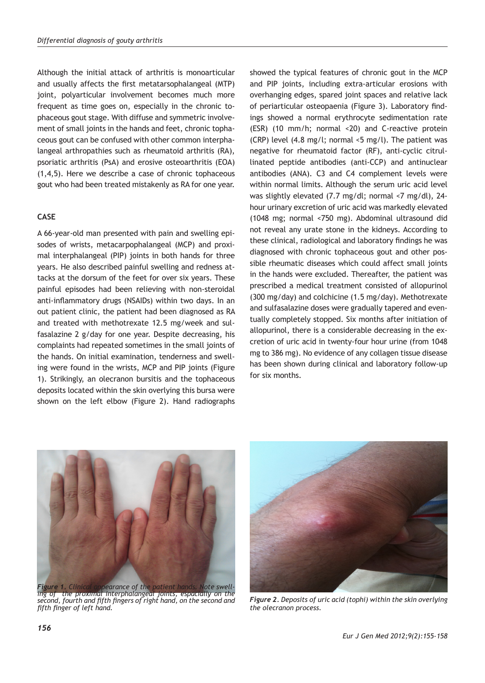Although the initial attack of arthritis is monoarticular and usually affects the first metatarsophalangeal (MTP) joint, polyarticular involvement becomes much more frequent as time goes on, especially in the chronic tophaceous gout stage. With diffuse and symmetric involvement of small joints in the hands and feet, chronic tophaceous gout can be confused with other common interphalangeal arthropathies such as rheumatoid arthritis (RA), psoriatic arthritis (PsA) and erosive osteoarthritis (EOA) (1,4,5). Here we describe a case of chronic tophaceous gout who had been treated mistakenly as RA for one year.

## **CASE**

A 66-year-old man presented with pain and swelling episodes of wrists, metacarpophalangeal (MCP) and proximal interphalangeal (PIP) joints in both hands for three years. He also described painful swelling and redness attacks at the dorsum of the feet for over six years. These painful episodes had been relieving with non-steroidal anti-inflammatory drugs (NSAIDs) within two days. In an out patient clinic, the patient had been diagnosed as RA and treated with methotrexate 12.5 mg/week and sulfasalazine 2 g/day for one year. Despite decreasing, his complaints had repeated sometimes in the small joints of the hands. On initial examination, tenderness and swelling were found in the wrists, MCP and PIP joints (Figure 1). Strikingly, an olecranon bursitis and the tophaceous deposits located within the skin overlying this bursa were shown on the left elbow (Figure 2). Hand radiographs

showed the typical features of chronic gout in the MCP and PIP joints, including extra-articular erosions with overhanging edges, spared joint spaces and relative lack of periarticular osteopaenia (Figure 3). Laboratory findings showed a normal erythrocyte sedimentation rate (ESR) (10 mm/h; normal <20) and C-reactive protein (CRP) level (4.8 mg/l; normal <5 mg/l). The patient was negative for rheumatoid factor (RF), anti-cyclic citrullinated peptide antibodies (anti-CCP) and antinuclear antibodies (ANA). C3 and C4 complement levels were within normal limits. Although the serum uric acid level was slightly elevated (7.7 mg/dl; normal <7 mg/dl), 24 hour urinary excretion of uric acid was markedly elevated (1048 mg; normal <750 mg). Abdominal ultrasound did not reveal any urate stone in the kidneys. According to these clinical, radiological and laboratory findings he was diagnosed with chronic tophaceous gout and other possible rheumatic diseases which could affect small joints in the hands were excluded. Thereafter, the patient was prescribed a medical treatment consisted of allopurinol (300 mg/day) and colchicine (1.5 mg/day). Methotrexate and sulfasalazine doses were gradually tapered and eventually completely stopped. Six months after initiation of allopurinol, there is a considerable decreasing in the excretion of uric acid in twenty-four hour urine (from 1048 mg to 386 mg). No evidence of any collagen tissue disease has been shown during clinical and laboratory follow-up for six months.



*Figure 1. Clinical appearance of the patient hands. Note swell-ing of the proximal interphalangeal joints, espacially on the second, fourth and fifth fingers of right hand, on the second and fifth finger of left hand.* 



*Figure 2. Deposits of uric acid (tophi) within the skin overlying the olecranon process.*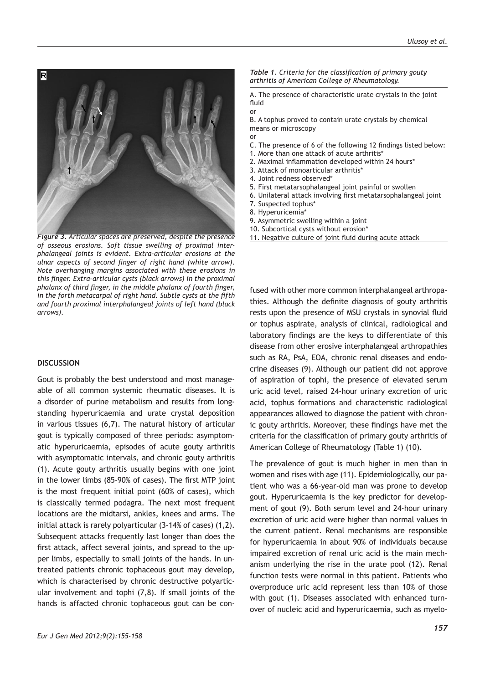

*Figure 3. Articular spaces are preserved, despite the presence of osseous erosions. Soft tissue swelling of proximal interphalangeal joints is evident. Extra-articular erosions at the ulnar aspects of second finger of right hand (white arrow). Note overhanging margins associated with these erosions in this finger. Extra-articular cysts (black arrows) in the proximal phalanx of third finger, in the middle phalanx of fourth finger, in the forth metacarpal of right hand. Subtle cysts at the fifth and fourth proximal interphalangeal joints of left hand (black arrows).*

## **DISCUSSION**

Gout is probably the best understood and most manageable of all common systemic rheumatic diseases. It is a disorder of purine metabolism and results from longstanding hyperuricaemia and urate crystal deposition in various tissues (6,7). The natural history of articular gout is typically composed of three periods: asymptomatic hyperuricaemia, episodes of acute gouty arthritis with asymptomatic intervals, and chronic gouty arthritis (1). Acute gouty arthritis usually begins with one joint in the lower limbs (85-90% of cases). The first MTP joint is the most frequent initial point (60% of cases), which is classically termed podagra. The next most frequent locations are the midtarsi, ankles, knees and arms. The initial attack is rarely polyarticular (3-14% of cases) (1,2). Subsequent attacks frequently last longer than does the first attack, affect several joints, and spread to the upper limbs, especially to small joints of the hands. In untreated patients chronic tophaceous gout may develop, which is characterised by chronic destructive polyarticular involvement and tophi (7,8). If small joints of the hands is affacted chronic tophaceous gout can be con-

#### C. The presence of 6 of the following 12 findings listed below: 1. More than one attack of acute arthritis\*

means or microscopy

fluid or

or

- 2. Maximal inflammation developed within 24 hours\*
- 3. Attack of monoarticular arthritis\*
- 4. Joint redness observed\*
- 5. First metatarsophalangeal joint painful or swollen
- 6. Unilateral attack involving first metatarsophalangeal joint

A. The presence of characteristic urate crystals in the joint

*Table 1. Criteria for the classification of primary gouty arthritis of American College of Rheumatology.*

B. A tophus proved to contain urate crystals by chemical

- 7. Suspected tophus\*
- 8. Hyperuricemia\*
- 9. Asymmetric swelling within a joint
- 10. Subcortical cysts without erosion\*
- 11. Negative culture of joint fluid during acute attack

fused with other more common interphalangeal arthropathies. Although the definite diagnosis of gouty arthritis rests upon the presence of MSU crystals in synovial fluid or tophus aspirate, analysis of clinical, radiological and laboratory findings are the keys to differentiate of this disease from other erosive interphalangeal arthropathies such as RA, PsA, EOA, chronic renal diseases and endocrine diseases (9). Although our patient did not approve of aspiration of tophi, the presence of elevated serum uric acid level, raised 24-hour urinary excretion of uric acid, tophus formations and characteristic radiological appearances allowed to diagnose the patient with chronic gouty arthritis. Moreover, these findings have met the criteria for the classification of primary gouty arthritis of American College of Rheumatology (Table 1) (10).

The prevalence of gout is much higher in men than in women and rises with age (11). Epidemiologically, our patient who was a 66-year-old man was prone to develop gout. Hyperuricaemia is the key predictor for development of gout (9). Both serum level and 24-hour urinary excretion of uric acid were higher than normal values in the current patient. Renal mechanisms are responsible for hyperuricaemia in about 90% of individuals because impaired excretion of renal uric acid is the main mechanism underlying the rise in the urate pool (12). Renal function tests were normal in this patient. Patients who overproduce uric acid represent less than 10% of those with gout (1). Diseases associated with enhanced turnover of nucleic acid and hyperuricaemia, such as myelo